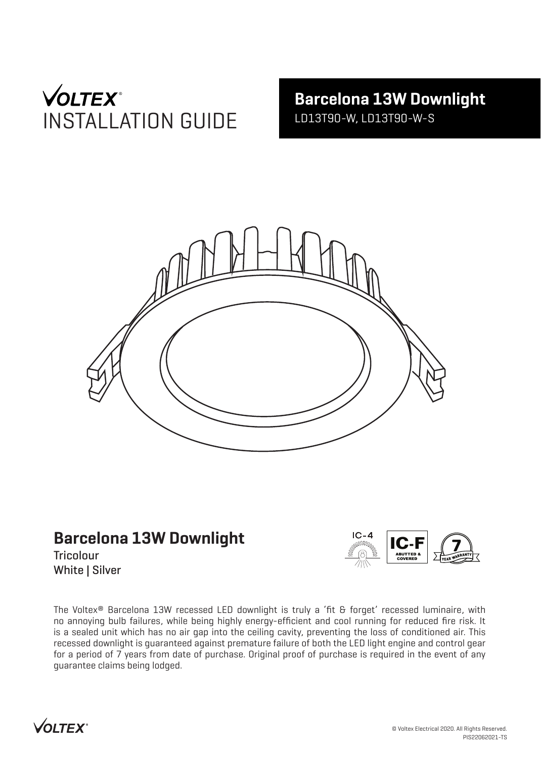# **VOLTEX**<sup>®</sup> INSTALLATION GUIDE

**Barcelona 13W Downlight** LD13T90-W, LD13T90-W-S



# **Barcelona 13W Downlight**

**Tricolour** White | Silver



The Voltex® Barcelona 13W recessed LED downlight is truly a 'fit & forget' recessed luminaire, with no annoying bulb failures, while being highly energy-efficient and cool running for reduced fire risk. It is a sealed unit which has no air gap into the ceiling cavity, preventing the loss of conditioned air. This recessed downlight is guaranteed against premature failure of both the LED light engine and control gear for a period of 7 years from date of purchase. Original proof of purchase is required in the event of any guarantee claims being lodged.

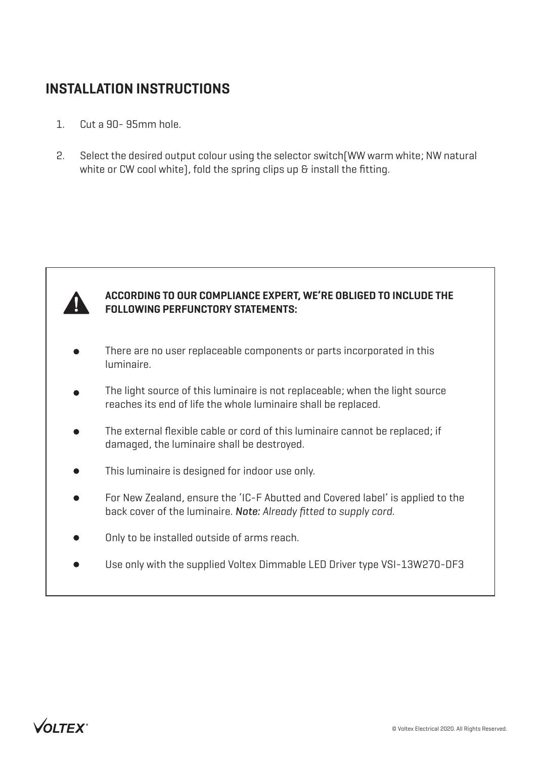### **INSTALLATION INSTRUCTIONS**

- 1. Cut a 90- 95mm hole.
- 2. Select the desired output colour using the selector switch(WW warm white; NW natural white or CW cool white), fold the spring clips up & install the fitting.



#### **ACCORDING TO OUR COMPLIANCE EXPERT, WE'RE OBLIGED TO INCLUDE THE FOLLOWING PERFUNCTORY STATEMENTS:**

- There are no user replaceable components or parts incorporated in this luminaire.
- The light source of this luminaire is not replaceable; when the light source reaches its end of life the whole luminaire shall be replaced.
- The external flexible cable or cord of this luminaire cannot be replaced; if damaged, the luminaire shall be destroyed.
- This luminaire is designed for indoor use only.
- For New Zealand, ensure the 'IC-F Abutted and Covered label' is applied to the back cover of the luminaire. *Note: Already fitted to supply cord.*
- Only to be installed outside of arms reach.
- Use only with the supplied Voltex Dimmable LED Driver type VSI-13W270-DF3

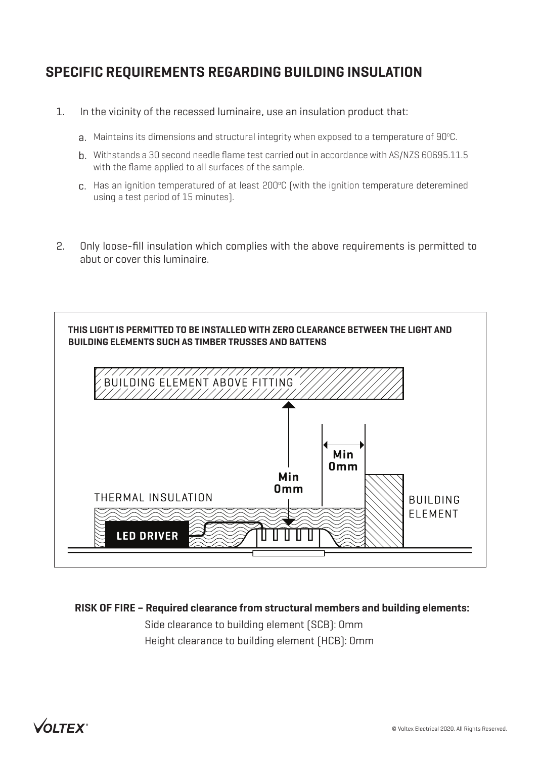## **SPECIFIC REQUIREMENTS REGARDING BUILDING INSULATION**

- 1. In the vicinity of the recessed luminaire, use an insulation product that:
	- ${\sf a}.$  Maintains its dimensions and structural integrity when exposed to a temperature of 90°C.
	- b. Withstands a 30 second needle flame test carried out in accordance with AS/NZS 60695.11.5 with the flame applied to all surfaces of the sample.
	- $c$ . Has an ignition temperatured of at least 200°C (with the ignition temperature deteremined using a test period of 15 minutes).
- 2. Only loose-fill insulation which complies with the above requirements is permitted to abut or cover this luminaire.



**RISK OF FIRE – Required clearance from structural members and building elements:**

Side clearance to building element (SCB): 0mm Height clearance to building element (HCB): 0mm